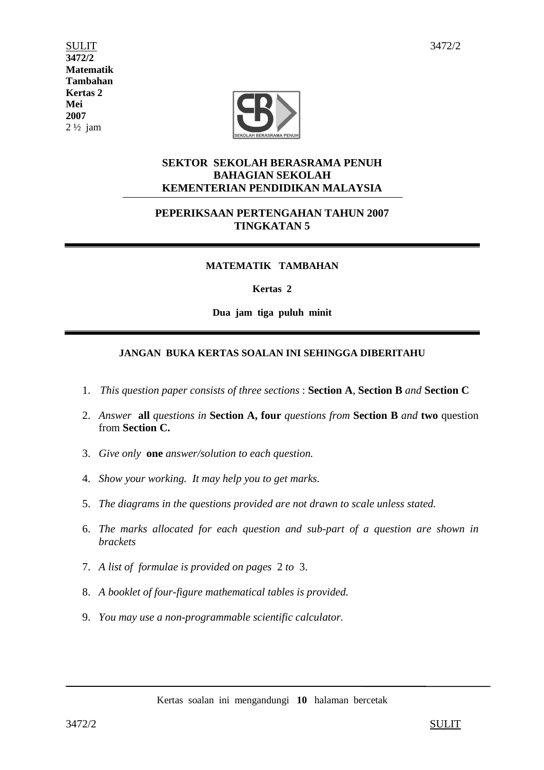$\n **SULT**\n  $\overline{\phantom{a}}\phantom{a}3472/2$$ **3472/2 Matematik Tambahan Kertas 2 Mei 2007**  2 ½ jam



## **SEKTOR SEKOLAH BERASRAMA PENUH BAHAGIAN SEKOLAH KEMENTERIAN PENDIDIKAN MALAYSIA**

## **PEPERIKSAAN PERTENGAHAN TAHUN 2007 TINGKATAN 5**

## **MATEMATIK TAMBAHAN**

### **Kertas 2**

**Dua jam tiga puluh minit** 

## **JANGAN BUKA KERTAS SOALAN INI SEHINGGA DIBERITAHU**

- 1.*This question paper consists of three sections* : **Section A**, **Section B** *and* **Section C**
- 2. *Answer* **all** *questions in* **Section A, four** *questions from* **Section B** *and* **two** question from **Section C.**
- 3. *Give only* **one** *answer/solution to each question.*
- 4. *Show your working. It may help you to get marks.*
- 5. *The diagrams in the questions provided are not drawn to scale unless stated.*
- 6. *The marks allocated for each question and sub-part of a question are shown in brackets*
- 7. *A list of formulae is provided on pages* 2 *to* 3.
- 8. *A booklet of four-figure mathematical tables is provided.*
- 9. *You may use a non-programmable scientific calculator.*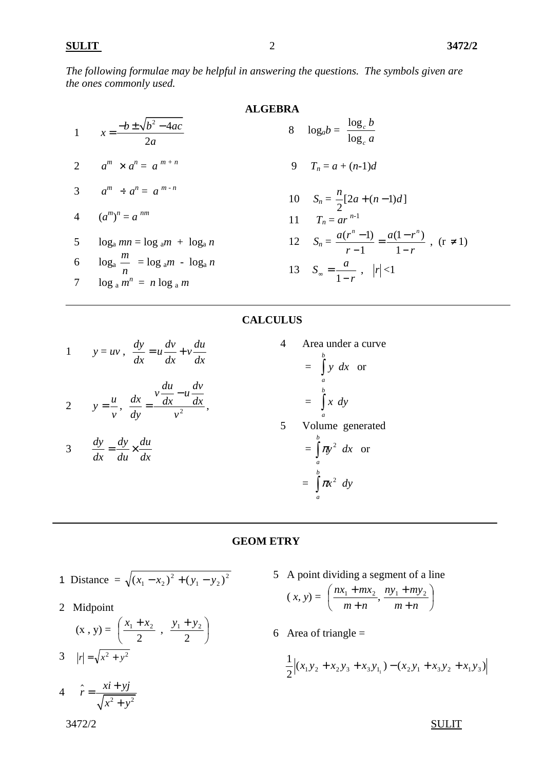*The following formulae may be helpful in answering the questions. The symbols given are the ones commonly used.* 

1 
$$
x = \frac{-b \pm \sqrt{b^2 - 4ac}}{2a}
$$
  
\n2  $a^m \times a^n = a^{m+n}$   
\n3  $a^m \div a^n = a^{m-n}$   
\n4  $(a^m)^n = a^{nm}$   
\n5  $\log_a m = \log_a m + \log_a n$   
\n6  $\log_a \frac{m}{m} = n \log_a m$   
\n7  $\log_a m^n = n \log_a m$   
\n8  $\log_a b = \frac{\log_c b}{\log_c a}$   
\n9  $T_n = a + (n-1)d$   
\n10  $S_n = \frac{n}{2}[2a + (n-1)d]$   
\n11  $T_n = ar^{n-1}$   
\n12  $S_n = \frac{a(r^n - 1)}{r - 1} = \frac{a(1 - r^n)}{1 - r}$ , (r \ne 1)  
\n13  $S_\infty = \frac{a}{1 - r}$ ,  $|r| < 1$ 

## **CALCULUS**

1 
$$
y = uv
$$
,  $\frac{dy}{dx} = u\frac{dv}{dx} + v\frac{du}{dx}$ 

2 
$$
y = \frac{u}{v}, \frac{dx}{dy} = \frac{v \frac{du}{dx} - u \frac{dv}{dx}}{v^2},
$$

$$
3 \t\t \frac{dy}{dx} = \frac{dy}{du} \times \frac{du}{dx}
$$

4 Area under a curve <sup>=</sup>∫ *b a y dx* or <sup>=</sup>∫ *b a x dy* 5 Volume generated  $=$   $\int_0^b$ *a*  $\pi y^2$  *dx* or <sup>=</sup>∫ *b a*  $\pi x^2$  *dy* 

## **GEOM ETRY**

1 Distance = 
$$
\sqrt{(x_1 - x_2)^2 + (y_1 - y_2)^2}
$$

2 Midpoint

$$
(\mathbf{x} \cdot \mathbf{y}) = \left(\frac{x_1 + x_2}{2} , \frac{y_1 + y_2}{2}\right)
$$
  
3  $|r| = \sqrt{x^2 + y^2}$ 

5 A point dividing a segment of a line

$$
(x, y) = \left(\frac{nx_1 + mx_2}{m+n}, \frac{ny_1 + my_2}{m+n}\right)
$$

6 Area of triangle  $=$ 

$$
\frac{1}{2}\Big|(x_1y_2 + x_2y_3 + x_3y_{1_1}) - (x_2y_1 + x_3y_2 + x_1y_3)\Big|
$$

 $3472/2$ 

 $\hat{r}$ 

4  $r = \frac{x+ y}{\sqrt{x^2 + y^2}}$  $\hat{r} = \frac{xi + yj}{\sqrt{g}}$ 

 $=\frac{xi+}{}$ 

 $x^2 + y$ 

+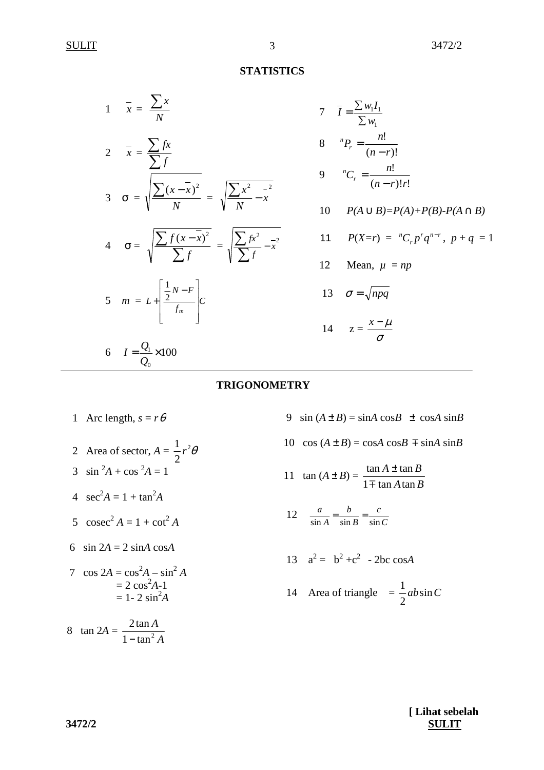## **STATISTICS**

| $\frac{1}{1-x} = \frac{\sum x}{N}$                                                                     |
|--------------------------------------------------------------------------------------------------------|
| $2 \quad \frac{1}{x} = \frac{\sum fx}{\sum f}$                                                         |
| 3 $\sigma = \sqrt{\frac{\sum (x - \overline{x})^2}{N}} = \sqrt{\frac{\sum x^2 - x^2}{N}}$              |
| 4 $\sigma = \sqrt{\frac{\sum f(x - \bar{x})^2}{\sum f}} = \sqrt{\frac{\sum fx^2}{\sum f} - \bar{x}^2}$ |
| 5 $m = L + \left  \frac{\frac{1}{2}N - F}{f_m} \right  C$                                              |
| 6 $I = \frac{Q_1}{Q_0} \times 100$                                                                     |

$$
7 \quad \overline{I} = \frac{\sum w_i I_1}{\sum w_i}
$$
  
\n8 \quad <sup>n</sup>P<sub>r</sub> =  $\frac{n!}{(n-r)!}$   
\n9 \quad <sup>n</sup>C<sub>r</sub> =  $\frac{n!}{(n-r)!r!}$   
\n10 \quad P(A \cup B)=P(A)+P(B)-P(A \cap B)  
\n11 \quad P(X=r) = <sup>n</sup>C<sub>r</sub>p<sup>r</sup>q<sup>n-r</sup>, p+q = 1  
\n12 \quad Mean, \ \mu = np  
\n13 \quad \sigma = \sqrt{npq}

## **TRIGONOMETRY**

- 1 Arc length,  $s = r\theta$
- 2 Area of sector,  $A = \frac{1}{2}r^2$ 2  $r^2\theta$ 3  $\sin^2 A + \cos^2 A = 1$ 4  $\sec^2 A = 1 + \tan^2 A$
- 5  $\csc^2 A = 1 + \cot^2 A$
- 6 sin  $2A = 2 \sin A \cos A$
- 7  $\cos 2A = \cos^2 A \sin^2 A$  $= 2 \cos^2 A - 1$  $= 1 - 2 \sin^2 A$

$$
8 \quad \tan 2A = \frac{2 \tan A}{1 - \tan^2 A}
$$

9 sin  $(A \pm B) = \sin A \cos B \pm \cos A \sin B$ 

- 10  $\cos(A \pm B) = \cos A \cos B \mp \sin A \sin B$
- 11  $\tan (A \pm B) =$ *A B*  $A \pm \tan B$  $1 \mp$  tan A tan  $\tan A \pm \tan$  $\mp$ ±
- 12  $rac{a}{\sin A} = \frac{b}{\sin B} = \frac{c}{\sin C}$ *c B b A a*  $\frac{a}{\sin A} = \frac{b}{\sin B} = \frac{c}{\sin B}$

$$
13 \quad a^2 = b^2 + c^2 - 2bc \cos A
$$

14 Area of triangle  $=\frac{1}{2}ab\sin C$ 2 1

**[ Lihat sebelah 3472/2 SULIT**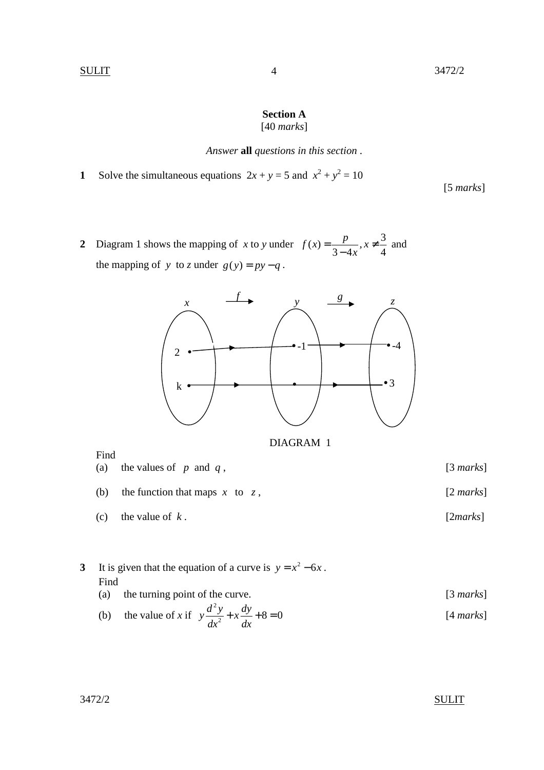### **Section A**  [40 *marks*]

### *Answer* **all** *questions in this section* .

**1** Solve the simultaneous equations  $2x + y = 5$  and  $x^2 + y^2 = 10$ 

[5 *marks*]

**2** Diagram 1 shows the mapping of *x* to *y* under  $f(x) = \frac{p}{2}$ ,  $x \neq \frac{3}{4}$  $3 - 4x$  4  $f(x) = \frac{p}{2}$ , x *x*  $=\frac{P}{2}, x \neq$ − and the mapping of *y* to *z* under  $g(y) = py - q$ .



DIAGRAM 1

Find

(a) the values of *p* and *q* , [3 *marks*]

- (b) the function that maps *x* to *z* , [2 *marks*]
- (c) the value of *k* . [2*marks*]

# **3** It is given that the equation of a curve is  $y = x^2 - 6x$ . Find (a) the turning point of the curve. [3 *marks*]

 (b) the value of *x* if 2  $y \frac{d^2 y}{dx^2} + x \frac{dy}{dx} + 8 = 0$  $dx^2$  dx  $+x \frac{dy}{dx} + 8 = 0$  [4 *marks*]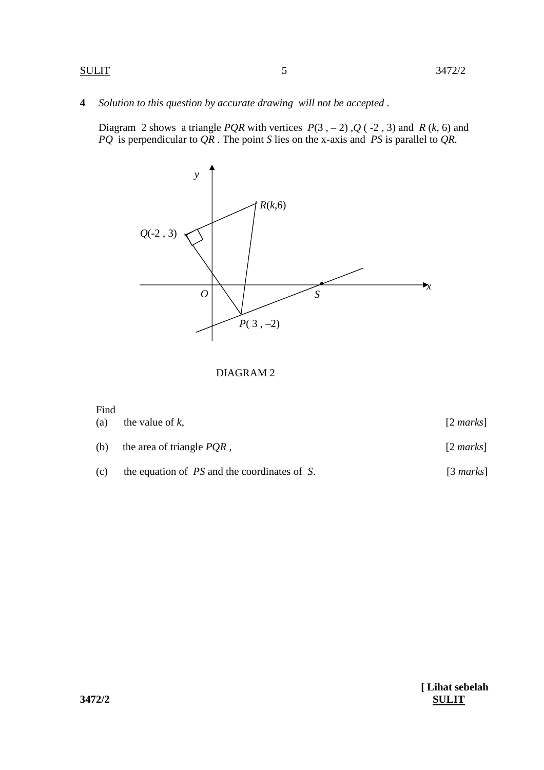**4** *Solution to this question by accurate drawing will not be accepted .* 

Diagram 2 shows a triangle *PQR* with vertices  $P(3, -2)$ ,  $Q(-2, 3)$  and  $R(k, 6)$  and  *PQ* is perpendicular to *QR* . The point *S* lies on the x-axis and *PS* is parallel to *QR.*



DIAGRAM 2

### Find

| (a) | the value of $k$ ,           | $[2 \text{ marks}]$ |
|-----|------------------------------|---------------------|
| (b) | the area of triangle $PQR$ , | $[2 \text{ marks}]$ |

(c) the equation of *PS* and the coordinates of *S*.[3 *marks*]

**[ Lihat sebelah 3472/2 SULIT**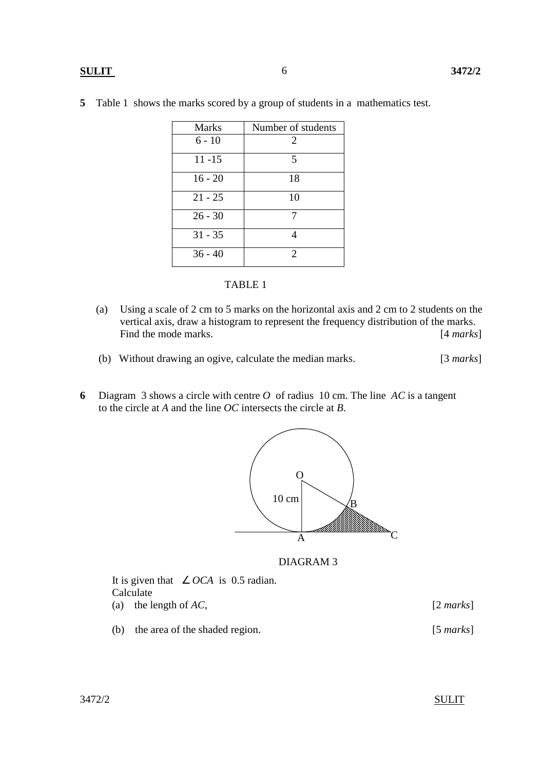### **SULIT 3472/2**

| <b>Marks</b> | Number of students      |
|--------------|-------------------------|
| $6 - 10$     | 2                       |
| $11 - 15$    | $\overline{\mathbf{5}}$ |
| $16 - 20$    | 18                      |
| $21 - 25$    | 10                      |
| $26 - 30$    |                         |
| $31 - 35$    |                         |
| $36 - 40$    | 2                       |

**5** Table 1 shows the marks scored by a group of students in a mathematics test.

|--|--|

- (a) Using a scale of 2 cm to 5 marks on the horizontal axis and 2 cm to 2 students on the vertical axis, draw a histogram to represent the frequency distribution of the marks. Find the mode marks. [4 *marks*]
- (b) Without drawing an ogive, calculate the median marks. [3 *marks*]
- **6** Diagram 3 shows a circle with centre *O* of radius 10 cm. The line *AC* is a tangent to the circle at *A* and the line *OC* intersects the circle at *B*.



DIAGRAM 3

| It is given that $\angle OCA$ is 0.5 radian.<br>Calculate |                     |
|-----------------------------------------------------------|---------------------|
| (a) the length of $AC$ ,                                  | $[2 \text{ marks}]$ |
| the area of the shaded region.<br>(b)                     | $[5 \text{ marks}]$ |

3472/2 SULIT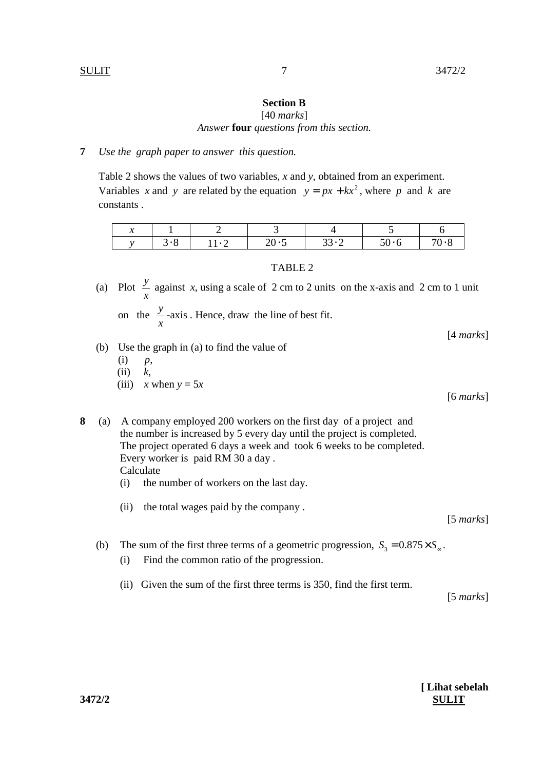## **Section B**

[40 *marks*] *Answer* **four** *questions from this section.* 

### **7** *Use the graph paper to answer this question.*

 Table 2 shows the values of two variables, *x* and *y*, obtained from an experiment. Variables *x* and *y* are related by the equation  $y = px + kx^2$ , where *p* and *k* are constants .

| ۰. |  |  |  |
|----|--|--|--|
|    |  |  |  |

### TABLE 2

- (a) Plot *x y* against *x*, using a scale of 2 cm to 2 units on the x-axis and 2 cm to 1 unit
	- on the  $\frac{y}{x}$ *x* -axis *.* Hence, draw the line of best fit.

[4 *marks*]

- (b) Use the graph in (a) to find the value of
	- $(i)$   $p$ ,
	- (ii) *k*,
	- (iii)  $x$  when  $y = 5x$

[6 *marks*]

- **8** (a) A company employed 200 workers on the first day of a project and the number is increased by 5 every day until the project is completed. The project operated 6 days a week and took 6 weeks to be completed. Every worker is paid RM 30 a day . Calculate
	- (i) the number of workers on the last day.
	- (ii) the total wages paid by the company .

(b) The sum of the first three terms of a geometric progression,  $S_3 = 0.875 \times S_{\infty}$ .

- (i) Find the common ratio of the progression.
- (ii) Given the sum of the first three terms is 350, find the first term.

[5 *marks*]

[5 *marks*]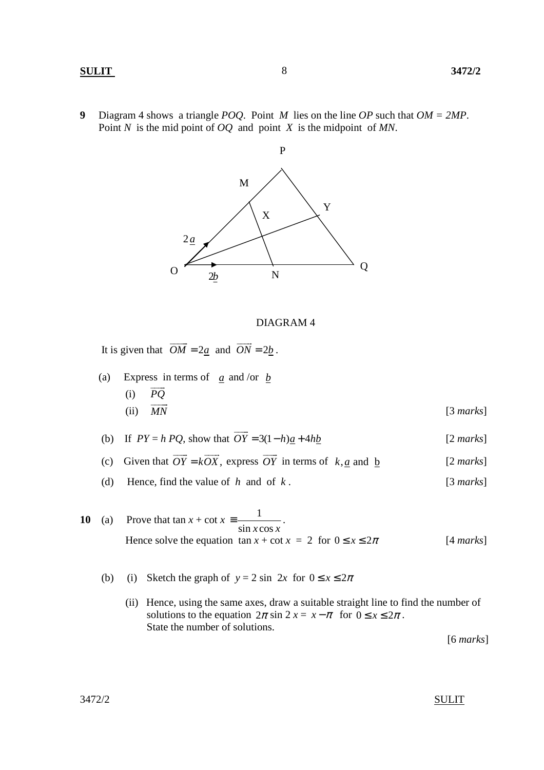### **SULIT 3472/2**

**9** Diagram 4 shows a triangle *POQ*. Point *M* lies on the line *OP* such that *OM = 2MP*. Point *N* is the mid point of *OQ* and point *X* is the midpoint of *MN*.



### DIAGRAM 4

It is given that  $OM = 2a$  and  $ON = 2b$  $\overline{\phantom{a}}$ .

- (a) Express in terms of  $\frac{a}{a}$  and /or  $\frac{b}{c}$ (i)  $PQ$  $(ii)$  *MN* [3 *marks*]
- (b) If  $PY = h PQ$ , show that  $OY = 3(1-h)a + 4hb$  $\overline{\phantom{a}}$ [2 *marks*]
- (c) Given that  $OY = kOX$ ,  $\overline{\phantom{a}}$  express *OY*  $\overline{\phantom{a}}$ in terms of  $k, a$  and  $b$  [2 *marks*]
	- (d) Hence, find the value of *h* and of *k* . [3 *marks*]
- **10** (a) Prove that  $\tan x + \cot x = \frac{1}{\cdot}$  $\sin x \cos x$  $\equiv \frac{1}{\sqrt{2\pi}}$ . Hence solve the equation  $\tan x + \cot x = 2$  for  $0 \le x \le 2\pi$  [4 *marks*]
	- (b) (i) Sketch the graph of  $y = 2 \sin 2x$  for  $0 \le x \le 2\pi$ 
		- (ii) Hence, using the same axes, draw a suitable straight line to find the number of solutions to the equation  $2\pi \sin 2 x = x - \pi$  for  $0 \le x \le 2\pi$ . State the number of solutions.

[6 *marks*]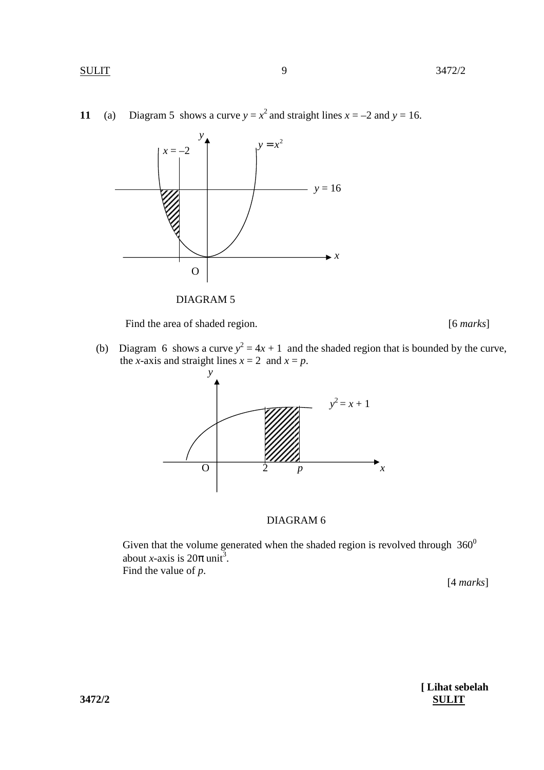



Find the area of shaded region. [6 *marks*]

(b) Diagram 6 shows a curve  $y^2 = 4x + 1$  and the shaded region that is bounded by the curve, the *x*-axis and straight lines  $x = 2$  and  $x = p$ .



# DIAGRAM 6

Given that the volume generated when the shaded region is revolved through  $360^0$ about *x*-axis is  $20\pi$  unit<sup>3</sup>. Find the value of *p*.

[4 *marks*]

**[ Lihat sebelah 3472/2 SULIT**